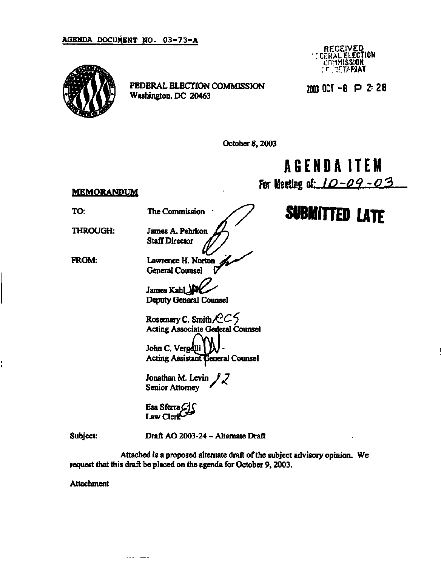## **AGENDA DOCUMENT NO. 03-73-A**



**FEDERAL ELECTION COMMISSION Washington, DC 20463** 

**RECEIVED<br>FRAI ELECTION ERAL EL I:R>IMISSION ;r.;rTARIAT** 

**2003 OCT - 8 P** *I* **2 8** 

**October 8,2003** 

**AGEND A ITEM** 

**For Ksrting nf-** *la-oq-o3* 

## **MEMORANDUM**

**SUBMITTED LATE** 

**TO:** 

**THROUGH:** 

**FROM:** 

 $The Commission$ 

**James A. Pehrkon** *ff-}* 

**Staff Director V Lawrence H. Norton General Counsel** 

James Kah

**Deputy General Counsel** 

Rosemary C. Smith $\angle$   $\angle$   $\angle$   $\angle$ **Acting Associate Gerjeral Counsel John C. Vergelli Acting Assistant General Counsel** 

**Jonathan M. Levin Senior Attorney** *\** 

Esa Sferra C Law Cler

**Subject:** 

**Draft AO 2003-24 - Alternate Draft** 

**Attached is a proposed alternate draft of the subject advisory opinion. We request that this draft be placed on the agenda for October 9,2003.** 

**Attachment** 

Alan Comma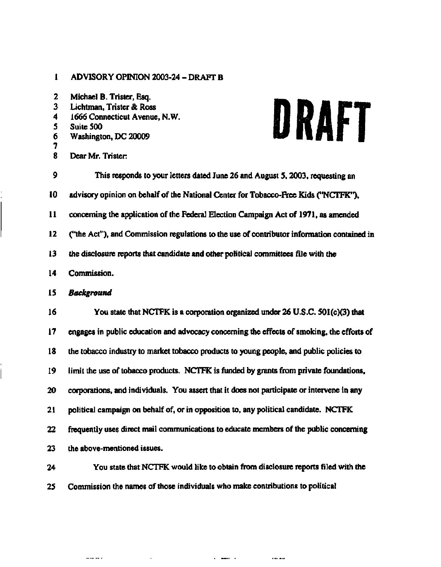## **1 ADVISORY OPINION 2003-24 - DRAFT B**

| $\mathbf{z}$<br>3<br>4<br>5<br>6<br>7 | Michael B. Trister, Esq.<br>Lichtman, Trister & Ross<br>DRAFT<br>1666 Connecticut Avenue, N.W.<br>Suite 500<br>Washington, DC 20009 |
|---------------------------------------|-------------------------------------------------------------------------------------------------------------------------------------|
| 8                                     | Dear Mr. Trister:                                                                                                                   |
| 9                                     | This responds to your letters dated June 26 and August 5, 2003, requesting an                                                       |
| 10                                    | advisory opinion on behalf of the National Center for Tobacco-Free Kids ("NCTFK"),                                                  |
| $\mathbf{11}$                         | concerning the application of the Federal Election Campaign Act of 1971, as amended                                                 |
| 12                                    | ("the Act"), and Commission regulations to the use of contributor information contained in                                          |
| 13                                    | the disclosure reports that candidate and other political committees file with the                                                  |
| 14                                    | Commission.                                                                                                                         |
| 15                                    | <b>Background</b>                                                                                                                   |
| 16                                    | You state that NCTFK is a corporation organized under 26 U.S.C. 501(c)(3) that                                                      |
| 17                                    | engages in public education and advocacy concerning the effects of smoking, the efforts of                                          |
| 18                                    | the tobacco industry to market tobacco products to young people, and public policies to                                             |
| 19                                    | limit the use of tobacco products. NCTFK is funded by grants from private foundations,                                              |
| 20                                    | corporations, and individuals. You assert that it does not participate or intervene in any                                          |
| 21                                    | political campaign on behalf of, or in opposition to, any political candidate. NCTFK                                                |
| 22                                    | frequently uses direct mail communications to educate members of the public concerning                                              |
| 23                                    | the above-mentioned issues.                                                                                                         |
| 24                                    | You state that NCTFK would like to obtain from disclosure reports filed with the                                                    |

**25 Commission the names of those individuals who make contributions to political** 

 $\mathcal{L}^{\text{max}}_{\text{max}}$  and  $\mathcal{L}^{\text{max}}_{\text{max}}$ 

 $\ldots$  .  $\ldots$  .

المستقلة المستقلة المستقلة المستقلة المستقلة المستقلة المستقلة المستقلة المستقلة المستقلة المستقلة المستقلة المستقلة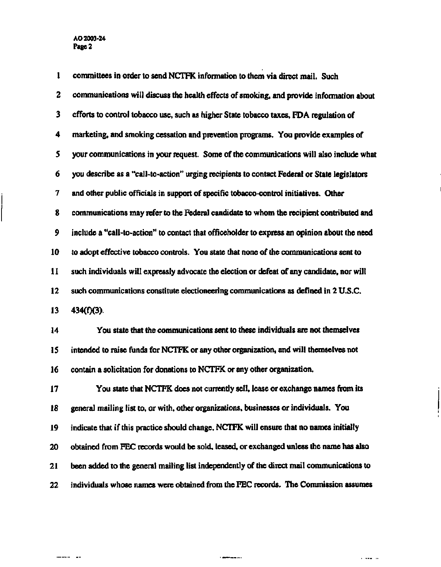**1 committees in order to send NCTFK information to them via direct mail. Such 2 communications will discuss the health effects of smoking, and provide information about 3 efforts to control tobacco use, such as higher State tobacco taxes, FDA regulation of 4 marketing, and smoking cessation and prevention programs. You provide examples of 5 your communications in your request. Some of the communications will also include what 6 you describe as a "call-to-action" urging recipients to contact Federal or State legislators 7 and other public officials in support of specific tobacco-control initiatives. Other 8 communications may refer to the Federal candidate to whom the recipient contributed and 9 include a "call-to-action" to contact that officeholder to express an opinion about the need 10 to adopt effective tobacco controls. You state that none of the communications sent to 11 such individuals will expressly advocate the election or defeat of any candidate, nor will 12 such communications constitute electioneering communications as defined in 2 U.S.C. 13** 434(f)(3). **14 You state that the communications sent to these individuals are not themselves 15 intended to raise funds for NCTFK or any other organization, and will themselves not 16 contain a solicitation for donations to NCTFK or any other organization. 17 You state that NCTFK does not currently sell, lease or exchange names from its 18 genera] mailing list to, or with, other organizations, businesses or individuals. You 19 indicate that if this practice should change, NCTFK will ensure that no names initially 20 obtained from FEC records would be sold, leased, or exchanged unless the name has also 21 been added to the general mailing list independently of the direct mail communications to 22 individuals whose names were obtained from the FEC records. The Commission assumes**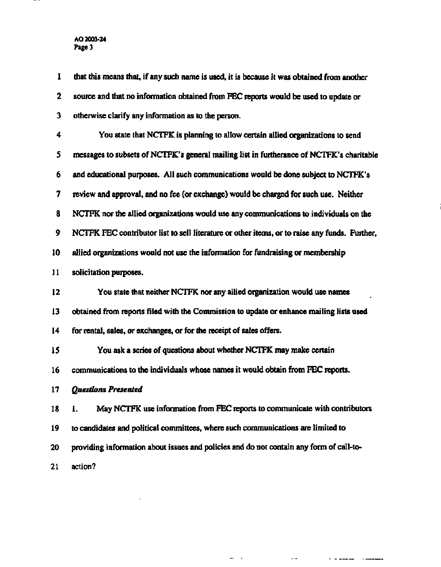**AO 2003-24 Page 3** 

 $-$ 

| 1               | that this means that, if any such name is used, it is because it was obtained from another    |
|-----------------|-----------------------------------------------------------------------------------------------|
| 2               | source and that no information obtained from FEC reports would be used to update or           |
| 3               | otherwise clarify any information as to the person.                                           |
| 4               | You state that NCTFK is planning to allow certain allied organizations to send                |
| 5               | messages to subsets of NCTPK's general mailing list in furtherance of NCTFK's charitable      |
| 6               | and educational purposes. All such communications would be done subject to NCTFK's            |
| 7               | review and approval, and no fee (or exchange) would be charged for such use. Neither          |
| 8               | NCTFK nor the allied organizations would use any communications to individuals on the         |
| 9               | NCTFK FEC contributor list to sell literature or other items, or to raise any funds. Further, |
| 10              | allied organizations would not use the information for fundraising or membership              |
| 11              | solicitation purposes.                                                                        |
| 12              | You state that neither NCTFK nor any allied organization would use names                      |
| 13              | obtained from reports filed with the Commission to update or enhance mailing lists used       |
| $\overline{14}$ | for rental, sales, or exchanges, or for the receipt of sales offers.                          |
| 15              | You ask a series of questions about whether NCTFK may make certain                            |
| 16              | communications to the individuals whose names it would obtain from FEC reports.               |
| 17              | Questions Presented                                                                           |
| 18              | May NCTFK use information from FEC reports to communicate with contributors<br>ı.             |
| 19              | to candidates and political committees, where such communications are limited to              |
| 20              | providing information about issues and policies and do not contain any form of call-to-       |
| 21              | action?                                                                                       |

 $\mathcal{L}^{\text{max}}$ 

and the component of the component of the component of the component of the component of the component of the component of the component of the component of the component of the component of the component of the component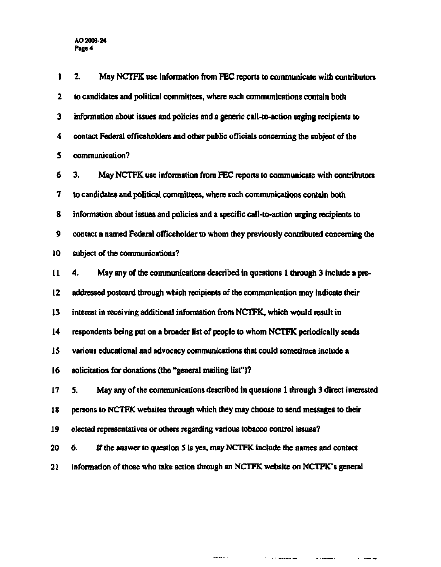| 1           | 2.<br>May NCTFK use information from FEC reports to communicate with contributors        |
|-------------|------------------------------------------------------------------------------------------|
| $\mathbf 2$ | to candidates and political committees, where such communications contain both           |
| 3           | information about issues and policies and a generic call-to-action urging recipients to  |
| 4           | contact Federal officeholders and other public officials concerning the subject of the   |
| 5           | communication?                                                                           |
| 6           | 3.<br>May NCTFK use information from FEC reports to communicate with contributors        |
| 7           | to candidates and political committees, where such communications contain both           |
| 8           | information about issues and policies and a specific call-to-action urging recipients to |
| 9           | contact a named Federal officeholder to whom they previously contributed concerning the  |
| 10          | subject of the communications?                                                           |
| 11          | May any of the communications described in questions 1 through 3 include a pre-<br>4.    |
| 12          | addressed postcard through which recipients of the communication may indicate their      |
| 13          | interest in receiving additional information from NCTFK, which would result in           |
| 14          | respondents being put on a broader list of people to whom NCTFK periodically sends       |
| 15          | various educational and advocacy communications that could sometimes include a           |
| 16          | solicitation for donations (the "general mailing list")?                                 |
| 17          | 5. May any of the communications described in questions 1 through 3 direct interested    |
| 18          | persons to NCTFK websites through which they may choose to send messages to their        |
| 19          | elected representatives or others regarding various tobacco control issues?              |
| 20          | If the answer to question 5 is yes, may NCTFK include the names and contact<br>6.        |
| 21          | information of those who take action through an NCTFK website on NCTFK's general         |
|             |                                                                                          |

an and the second company of the second company of the second company of the second company of the second company of the second company of the second company of the second company of the second company of the second compan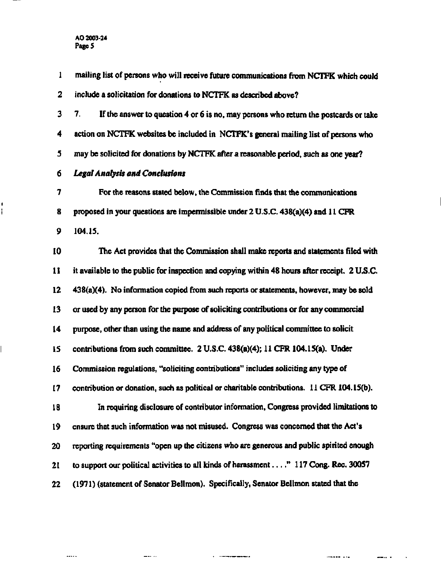ı ţ

**1 mailing list of persons who will receive future communications from NCTFK which could 2 include a solicitation for donations to NCTFK as described above? 3 7. If the answer to question 4 or 6 is no, may persons who return the postcards or take 4 action on NCTFK websites be included in NCTFK's general mailing list of persons who 5 may be solicited for donations by NCTFK after a reasonable period, such as one year? 6** *Legal Analysis and Conclusions*  **7 For the reasons stated below, the Commission finds that the communications 8 proposed in your questions are impermissible under 2 U.S.C. 438(a)(4) and 11 CFR 9 104.15. 10 The Act provides that the Commission shall make reports and statements filed with 11 it available to the public for inspection and copying within 48 hours after receipt. 2 U.S.C. 12 438(a)(4). No information copied from such reports or statements, however, may be sold 13 or used by any person for the purpose of soliciting contributions or for any commercial 14 purpose, other than using the name and address of any political committee to solicit 15 contributions from such committee. 2 U.S.C. 438(a)(4); 11 CFR 104.15(a). Under 16 Commission regulations, "soliciting contributions" includes soliciting any type of 17 contribution or donation, such as political or charitable contributions. 11 CFR 104.15(b). 18 In requiring disclosure of contributor information, Congress provided limitations to 19 ensure that such information was not misused. Congress was concerned that the Act's 20 reporting requirements "open up the citizens who are generous and public spirited enough 21 to support our political activities to all kinds of harassment " 117 Cong. Rec. 30057 22 (1971) (statement of Senator Bellmon). Specifically, Senator Bellmon stated that the** 

 $m = m$ 

 $\cdots$ 

. . . . .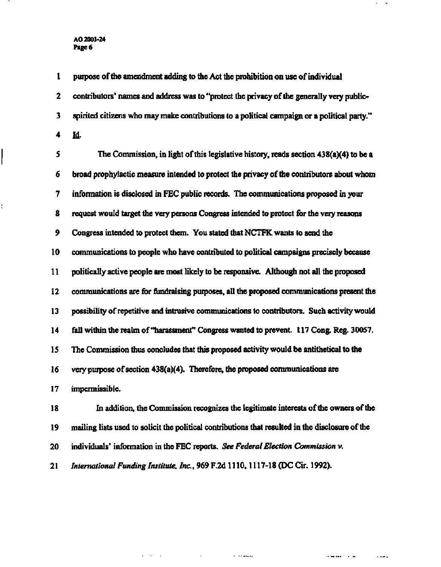**AO 2003-24 Page 6** 

ŧ

**1 purpose of the amendment adding to the Act the prohibition on use of individual 2 contributors' names and address was to "protect the privacy of the generally very public-3 spirited citizens who may make contributions to a political campaign or a political party." 4 Id. 5 The Commission, in light of this legislative history, reads section 438(a)(4) to be a 6 broad prophylactic measure intended to protect the privacy of the contributors about whom 7 information is disclosed in FEC public records. The communications proposed in your 8 request would target the very persons Congress intended to protect for the very reasons 9 Congress intended to protect them. You stated that NCTFK wants to send the 10 communications to people who have contributed to political campaigns precisely because 11 politically active people are most likely to be responsive. Although not all the proposed 12 communications are for fundraising purposes, all the proposed communications present the 13 possibility of repetitive and intrusive communications to contributors. Such activity would 14 fall within the realm of "harassment" Congress wanted to prevent. 117 Cong. Reg. 30057. 15 The Commission thus concludes that this proposed activity would be antithetical to the 16 very purpose of section 438(a)(4). Therefore, the proposed communications are 17 impermissible. 18 In addition, the Commission recognizes the legitimate interests of the owners of the 19 mailing lists used to solicit the political contributions that resulted in the disclosure of the 20 individuals<sup>1</sup> information in the FEC reports.** *See Federal Election Commission* **v. 21** *International Funding Institute, Inc.,* **969 F.2d 1110,1117-18 (DC Cir. 1992).** 

the control of the control of

saman an

وتقادم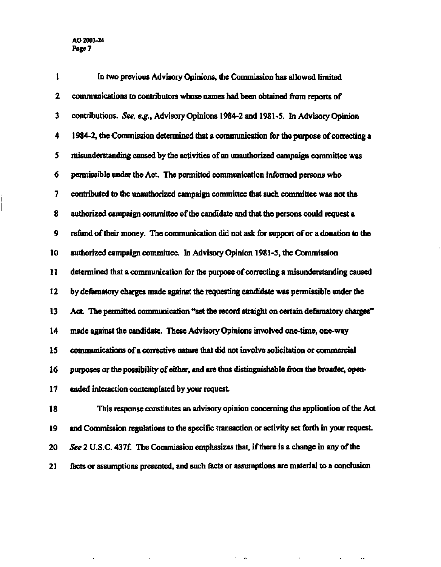$\bar{z}$ 

 $\bar{z}$ 

| 1  | In two previous Advisory Opinions, the Commission has allowed limited                         |
|----|-----------------------------------------------------------------------------------------------|
| 2  | communications to contributors whose names had been obtained from reports of                  |
| 3  | contributions. See, e.g., Advisory Opinions 1984-2 and 1981-5. In Advisory Opinion            |
| 4  | 1984-2, the Commission determined that a communication for the purpose of correcting a        |
| 5  | misunderstanding caused by the activities of an unauthorized campaign committee was           |
| 6  | permissible under the Act. The permitted communication informed persons who                   |
| 7  | contributed to the unauthorized campaign committee that such committee was not the            |
| 8  | authorized campaign committee of the candidate and that the persons could request a           |
| 9  | refund of their money. The communication did not ask for support of or a donation to the      |
| 10 | authorized campaign committee. In Advisory Opinion 1981-5, the Commission                     |
| 11 | determined that a communication for the purpose of correcting a misunderstanding caused       |
| 12 | by defamatory charges made against the requesting candidate was permissible under the         |
| 13 | Act. The permitted communication "set the record straight on certain defamatory charges"      |
| 14 | made against the candidate. These Advisory Opinions involved one-time, one-way                |
| 15 | communications of a corrective nature that did not involve solicitation or commercial         |
| 16 | purposes or the possibility of either, and are thus distinguishable from the broader, open-   |
| 17 | ended interaction contemplated by your request.                                               |
| 18 | This response constitutes an advisory opinion concerning the application of the Act           |
| 19 | and Commission regulations to the specific transaction or activity set forth in your request. |

**20** *See 2* **U.S.C. 437f. The Commission emphasizes that, if there is a change in any of the** 

**21 facts or assumptions presented, and such facts or assumptions are material to a conclusion** 

 $\mathbf{r} = \mathbf{r}$ 

 $\Delta\phi$  and  $\phi$  are  $\phi$  . The  $\Delta\phi$ 

 $\bar{\omega}$